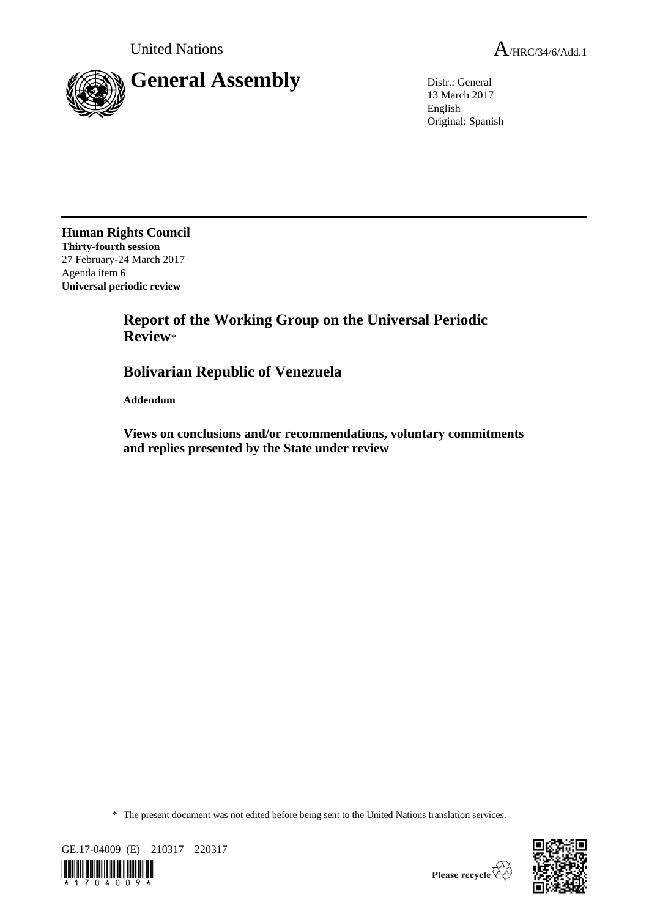



13 March 2017 English Original: Spanish

**Human Rights Council Thirty-fourth session** 27 February-24 March 2017 Agenda item 6 **Universal periodic review**

# **Report of the Working Group on the Universal Periodic Review**\*

# **Bolivarian Republic of Venezuela**

**Addendum**

**Views on conclusions and/or recommendations, voluntary commitments and replies presented by the State under review**

\* The present document was not edited before being sent to the United Nations translation services.



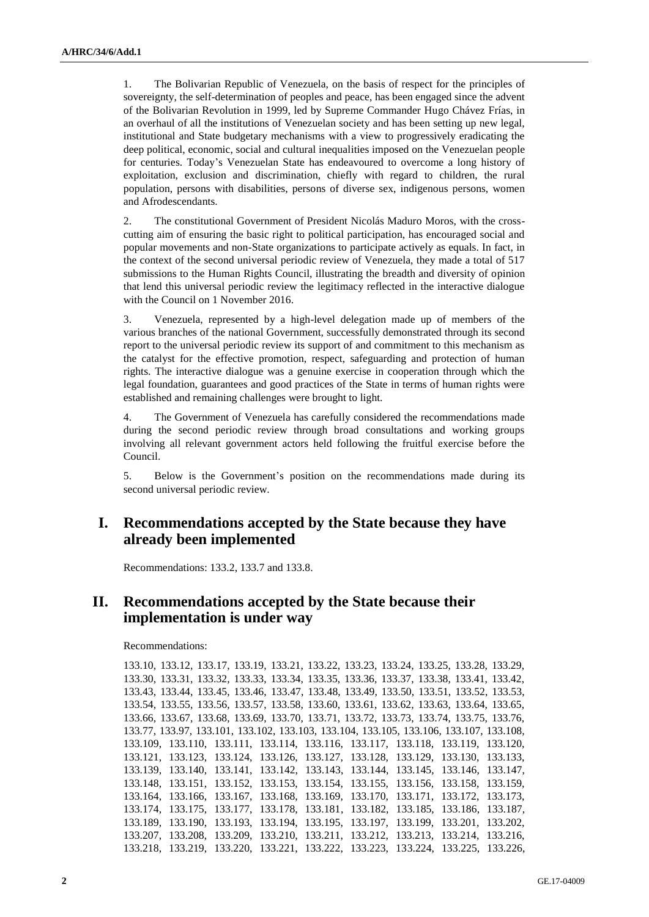1. The Bolivarian Republic of Venezuela, on the basis of respect for the principles of sovereignty, the self-determination of peoples and peace, has been engaged since the advent of the Bolivarian Revolution in 1999, led by Supreme Commander Hugo Chávez Frías, in an overhaul of all the institutions of Venezuelan society and has been setting up new legal, institutional and State budgetary mechanisms with a view to progressively eradicating the deep political, economic, social and cultural inequalities imposed on the Venezuelan people for centuries. Today's Venezuelan State has endeavoured to overcome a long history of exploitation, exclusion and discrimination, chiefly with regard to children, the rural population, persons with disabilities, persons of diverse sex, indigenous persons, women and Afrodescendants.

2. The constitutional Government of President Nicolás Maduro Moros, with the crosscutting aim of ensuring the basic right to political participation, has encouraged social and popular movements and non-State organizations to participate actively as equals. In fact, in the context of the second universal periodic review of Venezuela, they made a total of 517 submissions to the Human Rights Council, illustrating the breadth and diversity of opinion that lend this universal periodic review the legitimacy reflected in the interactive dialogue with the Council on 1 November 2016.

3. Venezuela, represented by a high-level delegation made up of members of the various branches of the national Government, successfully demonstrated through its second report to the universal periodic review its support of and commitment to this mechanism as the catalyst for the effective promotion, respect, safeguarding and protection of human rights. The interactive dialogue was a genuine exercise in cooperation through which the legal foundation, guarantees and good practices of the State in terms of human rights were established and remaining challenges were brought to light.

4. The Government of Venezuela has carefully considered the recommendations made during the second periodic review through broad consultations and working groups involving all relevant government actors held following the fruitful exercise before the Council.

5. Below is the Government's position on the recommendations made during its second universal periodic review.

#### **I. Recommendations accepted by the State because they have already been implemented**

Recommendations: 133.2, 133.7 and 133.8.

### **II. Recommendations accepted by the State because their implementation is under way**

Recommendations:

```
133.10, 133.12, 133.17, 133.19, 133.21, 133.22, 133.23, 133.24, 133.25, 133.28, 133.29, 
133.30, 133.31, 133.32, 133.33, 133.34, 133.35, 133.36, 133.37, 133.38, 133.41, 133.42, 
133.43, 133.44, 133.45, 133.46, 133.47, 133.48, 133.49, 133.50, 133.51, 133.52, 133.53, 
133.54, 133.55, 133.56, 133.57, 133.58, 133.60, 133.61, 133.62, 133.63, 133.64, 133.65, 
133.66, 133.67, 133.68, 133.69, 133.70, 133.71, 133.72, 133.73, 133.74, 133.75, 133.76, 
133.77, 133.97, 133.101, 133.102, 133.103, 133.104, 133.105, 133.106, 133.107, 133.108, 
133.109, 133.110, 133.111, 133.114, 133.116, 133.117, 133.118, 133.119, 133.120, 
133.121, 133.123, 133.124, 133.126, 133.127, 133.128, 133.129, 133.130, 133.133, 
133.139, 133.140, 133.141, 133.142, 133.143, 133.144, 133.145, 133.146, 133.147, 
133.148, 133.151, 133.152, 133.153, 133.154, 133.155, 133.156, 133.158, 133.159, 
133.164, 133.166, 133.167, 133.168, 133.169, 133.170, 133.171, 133.172, 133.173, 
133.174, 133.175, 133.177, 133.178, 133.181, 133.182, 133.185, 133.186, 133.187, 
133.189, 133.190, 133.193, 133.194, 133.195, 133.197, 133.199, 133.201, 133.202, 
133.207, 133.208, 133.209, 133.210, 133.211, 133.212, 133.213, 133.214, 133.216, 
133.218, 133.219, 133.220, 133.221, 133.222, 133.223, 133.224, 133.225, 133.226,
```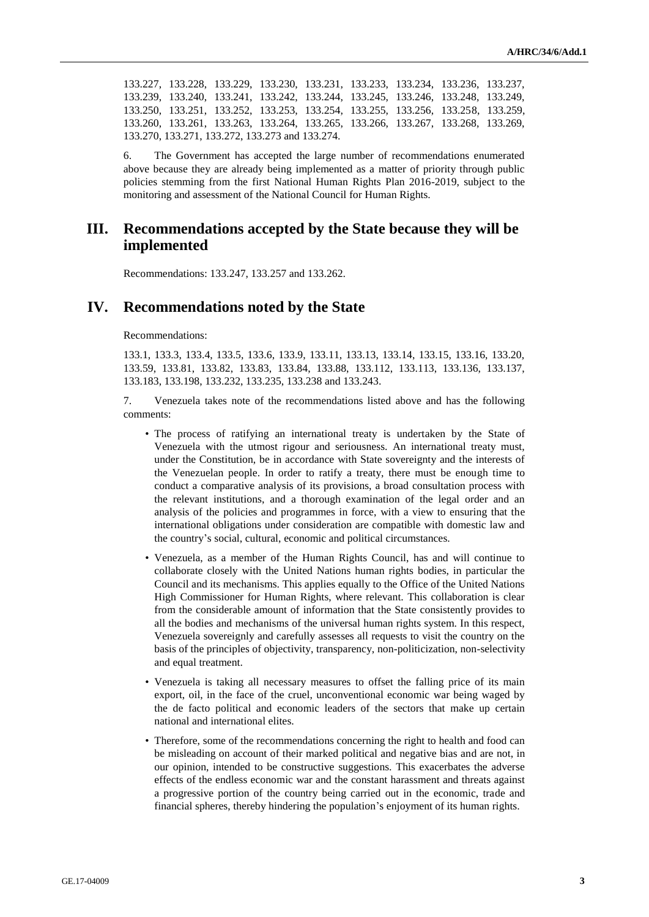133.227, 133.228, 133.229, 133.230, 133.231, 133.233, 133.234, 133.236, 133.237, 133.239, 133.240, 133.241, 133.242, 133.244, 133.245, 133.246, 133.248, 133.249, 133.250, 133.251, 133.252, 133.253, 133.254, 133.255, 133.256, 133.258, 133.259, 133.260, 133.261, 133.263, 133.264, 133.265, 133.266, 133.267, 133.268, 133.269, 133.270, 133.271, 133.272, 133.273 and 133.274.

6. The Government has accepted the large number of recommendations enumerated above because they are already being implemented as a matter of priority through public policies stemming from the first National Human Rights Plan 2016-2019, subject to the monitoring and assessment of the National Council for Human Rights.

#### **III. Recommendations accepted by the State because they will be implemented**

Recommendations: 133.247, 133.257 and 133.262.

#### **IV. Recommendations noted by the State**

Recommendations:

133.1, 133.3, 133.4, 133.5, 133.6, 133.9, 133.11, 133.13, 133.14, 133.15, 133.16, 133.20, 133.59, 133.81, 133.82, 133.83, 133.84, 133.88, 133.112, 133.113, 133.136, 133.137, 133.183, 133.198, 133.232, 133.235, 133.238 and 133.243.

7. Venezuela takes note of the recommendations listed above and has the following comments:

- The process of ratifying an international treaty is undertaken by the State of Venezuela with the utmost rigour and seriousness. An international treaty must, under the Constitution, be in accordance with State sovereignty and the interests of the Venezuelan people. In order to ratify a treaty, there must be enough time to conduct a comparative analysis of its provisions, a broad consultation process with the relevant institutions, and a thorough examination of the legal order and an analysis of the policies and programmes in force, with a view to ensuring that the international obligations under consideration are compatible with domestic law and the country's social, cultural, economic and political circumstances.
- Venezuela, as a member of the Human Rights Council, has and will continue to collaborate closely with the United Nations human rights bodies, in particular the Council and its mechanisms. This applies equally to the Office of the United Nations High Commissioner for Human Rights, where relevant. This collaboration is clear from the considerable amount of information that the State consistently provides to all the bodies and mechanisms of the universal human rights system. In this respect, Venezuela sovereignly and carefully assesses all requests to visit the country on the basis of the principles of objectivity, transparency, non-politicization, non-selectivity and equal treatment.
- Venezuela is taking all necessary measures to offset the falling price of its main export, oil, in the face of the cruel, unconventional economic war being waged by the de facto political and economic leaders of the sectors that make up certain national and international elites.
- Therefore, some of the recommendations concerning the right to health and food can be misleading on account of their marked political and negative bias and are not, in our opinion, intended to be constructive suggestions. This exacerbates the adverse effects of the endless economic war and the constant harassment and threats against a progressive portion of the country being carried out in the economic, trade and financial spheres, thereby hindering the population's enjoyment of its human rights.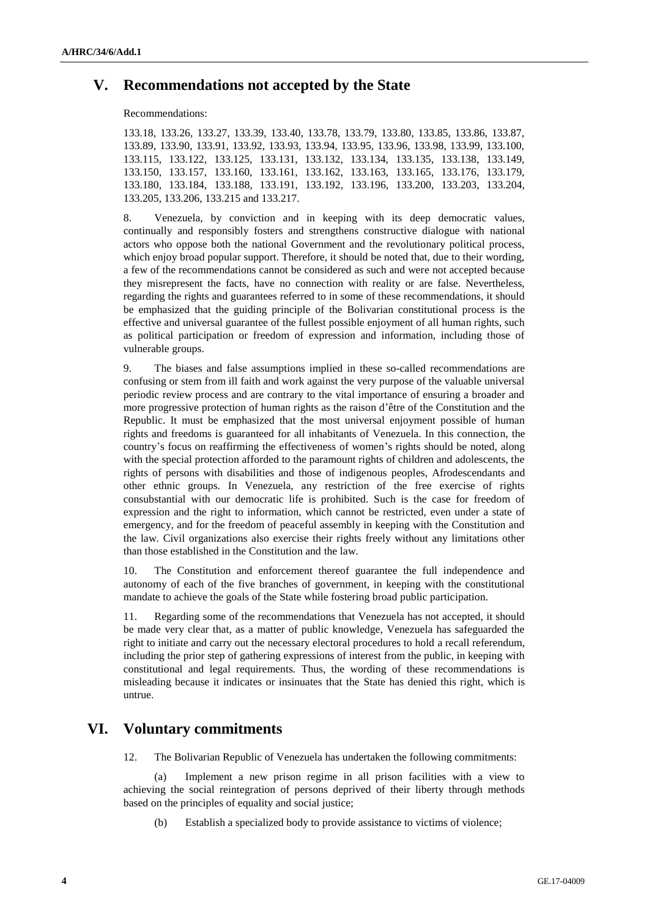#### **V. Recommendations not accepted by the State**

Recommendations:

133.18, 133.26, 133.27, 133.39, 133.40, 133.78, 133.79, 133.80, 133.85, 133.86, 133.87, 133.89, 133.90, 133.91, 133.92, 133.93, 133.94, 133.95, 133.96, 133.98, 133.99, 133.100, 133.115, 133.122, 133.125, 133.131, 133.132, 133.134, 133.135, 133.138, 133.149, 133.150, 133.157, 133.160, 133.161, 133.162, 133.163, 133.165, 133.176, 133.179, 133.180, 133.184, 133.188, 133.191, 133.192, 133.196, 133.200, 133.203, 133.204, 133.205, 133.206, 133.215 and 133.217.

8. Venezuela, by conviction and in keeping with its deep democratic values, continually and responsibly fosters and strengthens constructive dialogue with national actors who oppose both the national Government and the revolutionary political process, which enjoy broad popular support. Therefore, it should be noted that, due to their wording, a few of the recommendations cannot be considered as such and were not accepted because they misrepresent the facts, have no connection with reality or are false. Nevertheless, regarding the rights and guarantees referred to in some of these recommendations, it should be emphasized that the guiding principle of the Bolivarian constitutional process is the effective and universal guarantee of the fullest possible enjoyment of all human rights, such as political participation or freedom of expression and information, including those of vulnerable groups.

9. The biases and false assumptions implied in these so-called recommendations are confusing or stem from ill faith and work against the very purpose of the valuable universal periodic review process and are contrary to the vital importance of ensuring a broader and more progressive protection of human rights as the raison d'être of the Constitution and the Republic. It must be emphasized that the most universal enjoyment possible of human rights and freedoms is guaranteed for all inhabitants of Venezuela. In this connection, the country's focus on reaffirming the effectiveness of women's rights should be noted, along with the special protection afforded to the paramount rights of children and adolescents, the rights of persons with disabilities and those of indigenous peoples, Afrodescendants and other ethnic groups. In Venezuela, any restriction of the free exercise of rights consubstantial with our democratic life is prohibited. Such is the case for freedom of expression and the right to information, which cannot be restricted, even under a state of emergency, and for the freedom of peaceful assembly in keeping with the Constitution and the law. Civil organizations also exercise their rights freely without any limitations other than those established in the Constitution and the law.

10. The Constitution and enforcement thereof guarantee the full independence and autonomy of each of the five branches of government, in keeping with the constitutional mandate to achieve the goals of the State while fostering broad public participation.

11. Regarding some of the recommendations that Venezuela has not accepted, it should be made very clear that, as a matter of public knowledge, Venezuela has safeguarded the right to initiate and carry out the necessary electoral procedures to hold a recall referendum, including the prior step of gathering expressions of interest from the public, in keeping with constitutional and legal requirements. Thus, the wording of these recommendations is misleading because it indicates or insinuates that the State has denied this right, which is untrue.

### **VI. Voluntary commitments**

12. The Bolivarian Republic of Venezuela has undertaken the following commitments:

(a) Implement a new prison regime in all prison facilities with a view to achieving the social reintegration of persons deprived of their liberty through methods based on the principles of equality and social justice;

(b) Establish a specialized body to provide assistance to victims of violence;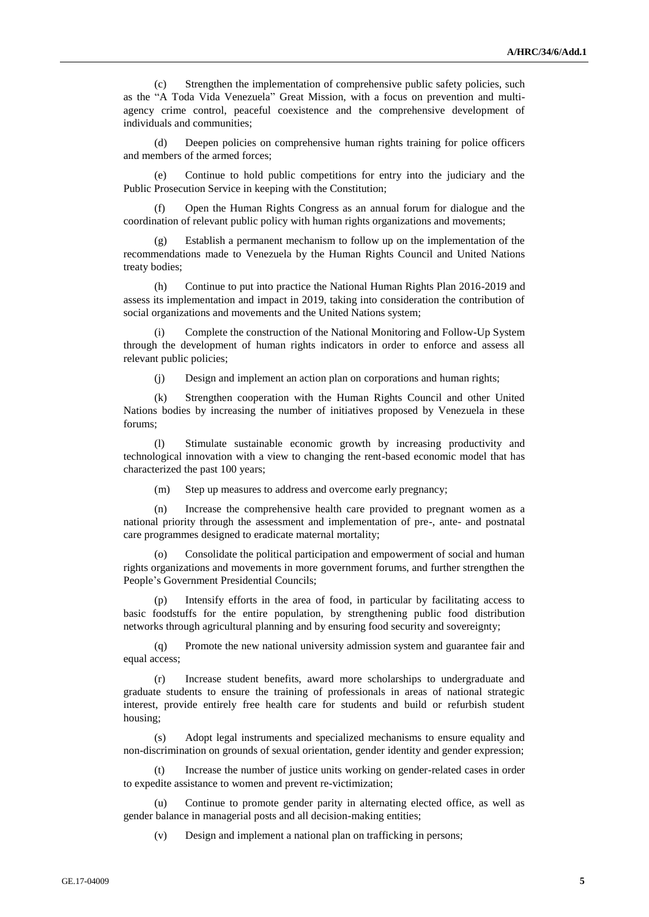(c) Strengthen the implementation of comprehensive public safety policies, such as the "A Toda Vida Venezuela" Great Mission, with a focus on prevention and multiagency crime control, peaceful coexistence and the comprehensive development of individuals and communities;

(d) Deepen policies on comprehensive human rights training for police officers and members of the armed forces;

(e) Continue to hold public competitions for entry into the judiciary and the Public Prosecution Service in keeping with the Constitution;

(f) Open the Human Rights Congress as an annual forum for dialogue and the coordination of relevant public policy with human rights organizations and movements;

Establish a permanent mechanism to follow up on the implementation of the recommendations made to Venezuela by the Human Rights Council and United Nations treaty bodies;

(h) Continue to put into practice the National Human Rights Plan 2016-2019 and assess its implementation and impact in 2019, taking into consideration the contribution of social organizations and movements and the United Nations system;

(i) Complete the construction of the National Monitoring and Follow-Up System through the development of human rights indicators in order to enforce and assess all relevant public policies;

(j) Design and implement an action plan on corporations and human rights;

(k) Strengthen cooperation with the Human Rights Council and other United Nations bodies by increasing the number of initiatives proposed by Venezuela in these forums;

(l) Stimulate sustainable economic growth by increasing productivity and technological innovation with a view to changing the rent-based economic model that has characterized the past 100 years;

(m) Step up measures to address and overcome early pregnancy;

(n) Increase the comprehensive health care provided to pregnant women as a national priority through the assessment and implementation of pre-, ante- and postnatal care programmes designed to eradicate maternal mortality;

(o) Consolidate the political participation and empowerment of social and human rights organizations and movements in more government forums, and further strengthen the People's Government Presidential Councils;

(p) Intensify efforts in the area of food, in particular by facilitating access to basic foodstuffs for the entire population, by strengthening public food distribution networks through agricultural planning and by ensuring food security and sovereignty;

(q) Promote the new national university admission system and guarantee fair and equal access;

(r) Increase student benefits, award more scholarships to undergraduate and graduate students to ensure the training of professionals in areas of national strategic interest, provide entirely free health care for students and build or refurbish student housing;

(s) Adopt legal instruments and specialized mechanisms to ensure equality and non-discrimination on grounds of sexual orientation, gender identity and gender expression;

(t) Increase the number of justice units working on gender-related cases in order to expedite assistance to women and prevent re-victimization;

Continue to promote gender parity in alternating elected office, as well as gender balance in managerial posts and all decision-making entities;

(v) Design and implement a national plan on trafficking in persons;